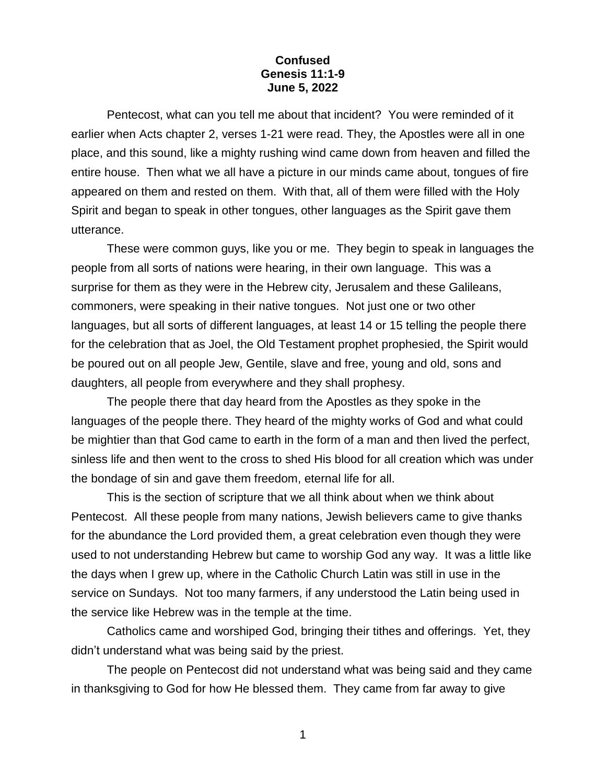## **Confused Genesis 11:1-9 June 5, 2022**

Pentecost, what can you tell me about that incident? You were reminded of it earlier when Acts chapter 2, verses 1-21 were read. They, the Apostles were all in one place, and this sound, like a mighty rushing wind came down from heaven and filled the entire house. Then what we all have a picture in our minds came about, tongues of fire appeared on them and rested on them. With that, all of them were filled with the Holy Spirit and began to speak in other tongues, other languages as the Spirit gave them utterance.

These were common guys, like you or me. They begin to speak in languages the people from all sorts of nations were hearing, in their own language. This was a surprise for them as they were in the Hebrew city, Jerusalem and these Galileans, commoners, were speaking in their native tongues. Not just one or two other languages, but all sorts of different languages, at least 14 or 15 telling the people there for the celebration that as Joel, the Old Testament prophet prophesied, the Spirit would be poured out on all people Jew, Gentile, slave and free, young and old, sons and daughters, all people from everywhere and they shall prophesy.

The people there that day heard from the Apostles as they spoke in the languages of the people there. They heard of the mighty works of God and what could be mightier than that God came to earth in the form of a man and then lived the perfect, sinless life and then went to the cross to shed His blood for all creation which was under the bondage of sin and gave them freedom, eternal life for all.

This is the section of scripture that we all think about when we think about Pentecost. All these people from many nations, Jewish believers came to give thanks for the abundance the Lord provided them, a great celebration even though they were used to not understanding Hebrew but came to worship God any way. It was a little like the days when I grew up, where in the Catholic Church Latin was still in use in the service on Sundays. Not too many farmers, if any understood the Latin being used in the service like Hebrew was in the temple at the time.

Catholics came and worshiped God, bringing their tithes and offerings. Yet, they didn't understand what was being said by the priest.

The people on Pentecost did not understand what was being said and they came in thanksgiving to God for how He blessed them. They came from far away to give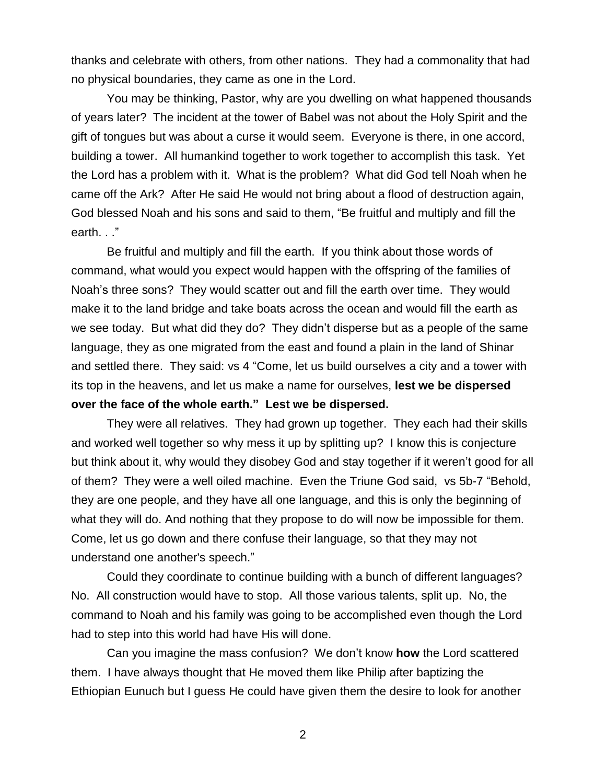thanks and celebrate with others, from other nations. They had a commonality that had no physical boundaries, they came as one in the Lord.

You may be thinking, Pastor, why are you dwelling on what happened thousands of years later? The incident at the tower of Babel was not about the Holy Spirit and the gift of tongues but was about a curse it would seem. Everyone is there, in one accord, building a tower. All humankind together to work together to accomplish this task. Yet the Lord has a problem with it. What is the problem? What did God tell Noah when he came off the Ark? After He said He would not bring about a flood of destruction again, God blessed Noah and his sons and said to them, "Be fruitful and multiply and fill the earth. . ."

Be fruitful and multiply and fill the earth. If you think about those words of command, what would you expect would happen with the offspring of the families of Noah's three sons? They would scatter out and fill the earth over time. They would make it to the land bridge and take boats across the ocean and would fill the earth as we see today. But what did they do? They didn't disperse but as a people of the same language, they as one migrated from the east and found a plain in the land of Shinar and settled there. They said: vs 4 "Come, let us build ourselves a city and a tower with its top in the heavens, and let us make a name for ourselves, **lest we be dispersed over the face of the whole earth." Lest we be dispersed.**

They were all relatives. They had grown up together. They each had their skills and worked well together so why mess it up by splitting up? I know this is conjecture but think about it, why would they disobey God and stay together if it weren't good for all of them? They were a well oiled machine. Even the Triune God said, vs 5b-7 "Behold, they are one people, and they have all one language, and this is only the beginning of what they will do. And nothing that they propose to do will now be impossible for them. Come, let us go down and there confuse their language, so that they may not understand one another's speech."

Could they coordinate to continue building with a bunch of different languages? No. All construction would have to stop. All those various talents, split up. No, the command to Noah and his family was going to be accomplished even though the Lord had to step into this world had have His will done.

Can you imagine the mass confusion? We don't know **how** the Lord scattered them. I have always thought that He moved them like Philip after baptizing the Ethiopian Eunuch but I guess He could have given them the desire to look for another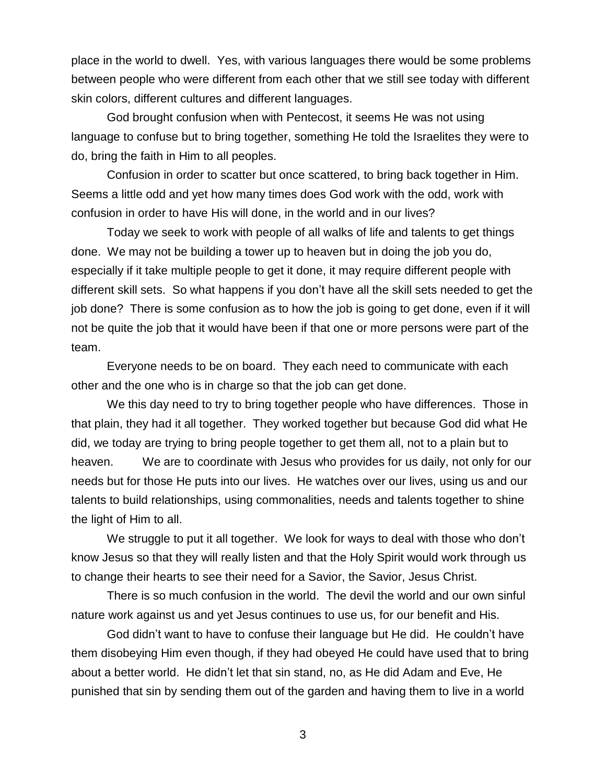place in the world to dwell. Yes, with various languages there would be some problems between people who were different from each other that we still see today with different skin colors, different cultures and different languages.

God brought confusion when with Pentecost, it seems He was not using language to confuse but to bring together, something He told the Israelites they were to do, bring the faith in Him to all peoples.

Confusion in order to scatter but once scattered, to bring back together in Him. Seems a little odd and yet how many times does God work with the odd, work with confusion in order to have His will done, in the world and in our lives?

Today we seek to work with people of all walks of life and talents to get things done. We may not be building a tower up to heaven but in doing the job you do, especially if it take multiple people to get it done, it may require different people with different skill sets. So what happens if you don't have all the skill sets needed to get the job done? There is some confusion as to how the job is going to get done, even if it will not be quite the job that it would have been if that one or more persons were part of the team.

Everyone needs to be on board. They each need to communicate with each other and the one who is in charge so that the job can get done.

We this day need to try to bring together people who have differences. Those in that plain, they had it all together. They worked together but because God did what He did, we today are trying to bring people together to get them all, not to a plain but to heaven. We are to coordinate with Jesus who provides for us daily, not only for our needs but for those He puts into our lives. He watches over our lives, using us and our talents to build relationships, using commonalities, needs and talents together to shine the light of Him to all.

We struggle to put it all together. We look for ways to deal with those who don't know Jesus so that they will really listen and that the Holy Spirit would work through us to change their hearts to see their need for a Savior, the Savior, Jesus Christ.

There is so much confusion in the world. The devil the world and our own sinful nature work against us and yet Jesus continues to use us, for our benefit and His.

God didn't want to have to confuse their language but He did. He couldn't have them disobeying Him even though, if they had obeyed He could have used that to bring about a better world. He didn't let that sin stand, no, as He did Adam and Eve, He punished that sin by sending them out of the garden and having them to live in a world